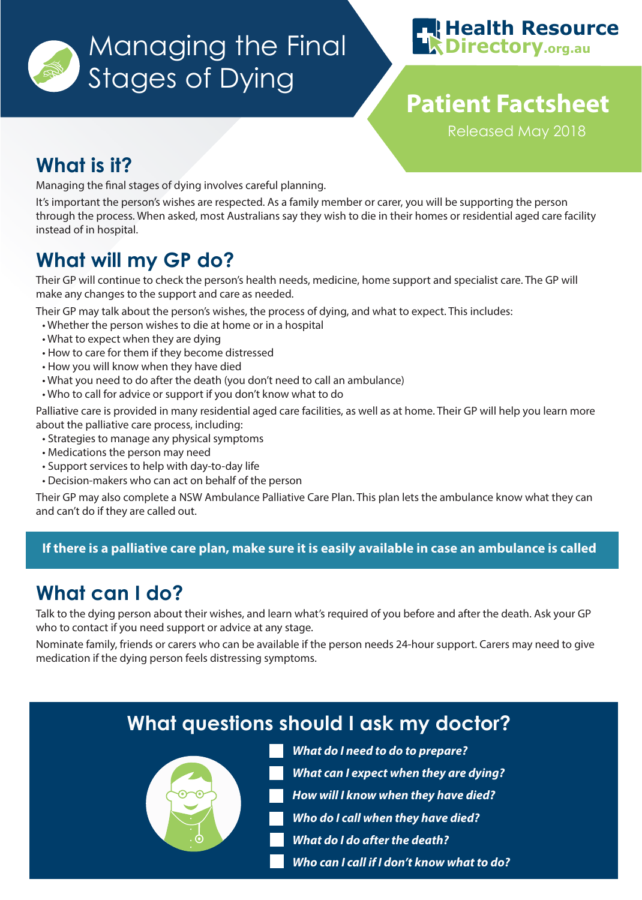



# **Patient Factsheet**

Released May 2018

## **What is it?**

Managing the final stages of dying involves careful planning.

It's important the person's wishes are respected. As a family member or carer, you will be supporting the person through the process. When asked, most Australians say they wish to die in their homes or residential aged care facility instead of in hospital.

## **What will my GP do?**

Their GP will continue to check the person's health needs, medicine, home support and specialist care. The GP will make any changes to the support and care as needed.

Their GP may talk about the person's wishes, the process of dying, and what to expect. This includes:

- Whether the person wishes to die at home or in a hospital
- What to expect when they are dying
- How to care for them if they become distressed
- How you will know when they have died
- What you need to do after the death (you don't need to call an ambulance)
- Who to call for advice or support if you don't know what to do

Palliative care is provided in many residential aged care facilities, as well as at home. Their GP will help you learn more about the palliative care process, including:

- Strategies to manage any physical symptoms
- Medications the person may need
- Support services to help with day-to-day life
- Decision-makers who can act on behalf of the person

Their GP may also complete a NSW Ambulance Palliative Care Plan. This plan lets the ambulance know what they can and can't do if they are called out.

### **If there is a palliative care plan, make sure it is easily available in case an ambulance is called**

## **What can I do?**

Talk to the dying person about their wishes, and learn what's required of you before and after the death. Ask your GP who to contact if you need support or advice at any stage.

Nominate family, friends or carers who can be available if the person needs 24-hour support. Carers may need to give medication if the dying person feels distressing symptoms.

## **What questions should I ask my doctor?**



- **What do I need to do to prepare?**
- **What can I expect when they are dying?**
- **How will I know when they have died?**
- **Who do I call when they have died?**
- **What do I do after the death?**
- **Who can I call if I don't know what to do?**